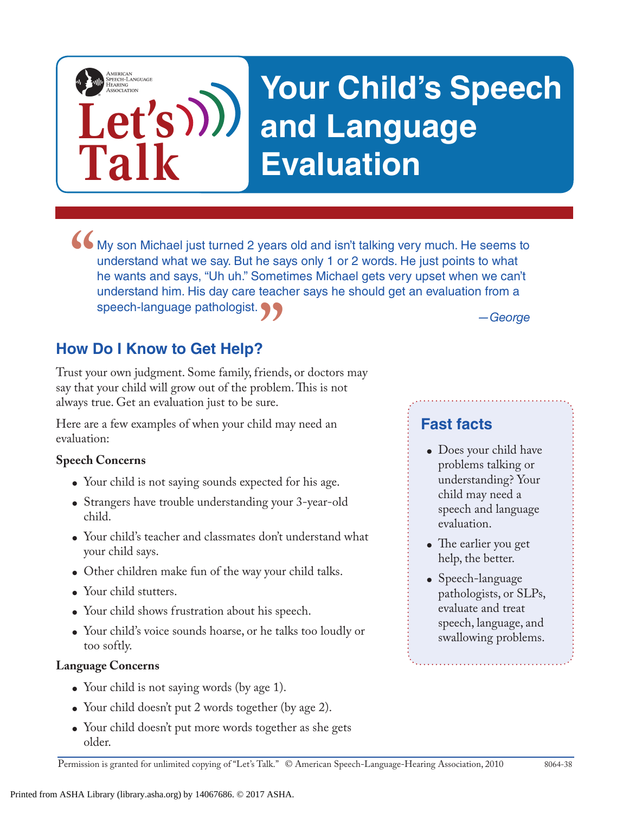# **Your Child's Speech and Language Evaluation**

*—George* • My son Michael just turned 2 years old and isn't talking very much. He seems to understand what we say. But he says only 1 or 2 words. He just points to what he wants and says, "Uh uh." Sometimes Michael gets very upset understand what we say. But he says only 1 or 2 words. He just points to what he wants and says, "Uh uh." Sometimes Michael gets very upset when we can't understand him. His day care teacher says he should get an evaluation from a speech-language pathologist.

# **How Do I Know to Get Help?**

**Let's**

**Talk**

AMERICAN<br>SPEECH-LANGUAGE-<br>HEARING

**How Do I Know to Get Help?**<br>Trust your own judgment. Some family, friends, or doctors may say that your child will grow out of the problem. This is not always true. Get an evaluation just to be sure.

Here are a few examples of when your child may need an evaluation:

### **Speech Concerns**

- Your child is not saying sounds expected for his age.
- Strangers have trouble understanding your 3-year-old child.
- Your child's teacher and classmates don't understand what your child says.
- Other children make fun of the way your child talks.
- Your child stutters.
- Your child shows frustration about his speech.
- Your child's voice sounds hoarse, or he talks too loudly or too softly.

### **Language Concerns**

- Your child is not saying words (by age 1).
- Your child doesn't put 2 words together (by age 2).
- Your child doesn't put more words together as she gets older.

## **Fast facts**

- Does your child have problems talking or understanding? Your child may need a speech and language evaluation.
- The earlier you get help, the better.
- Speech-language pathologists, or SLPs, evaluate and treat speech, language, and swallowing problems.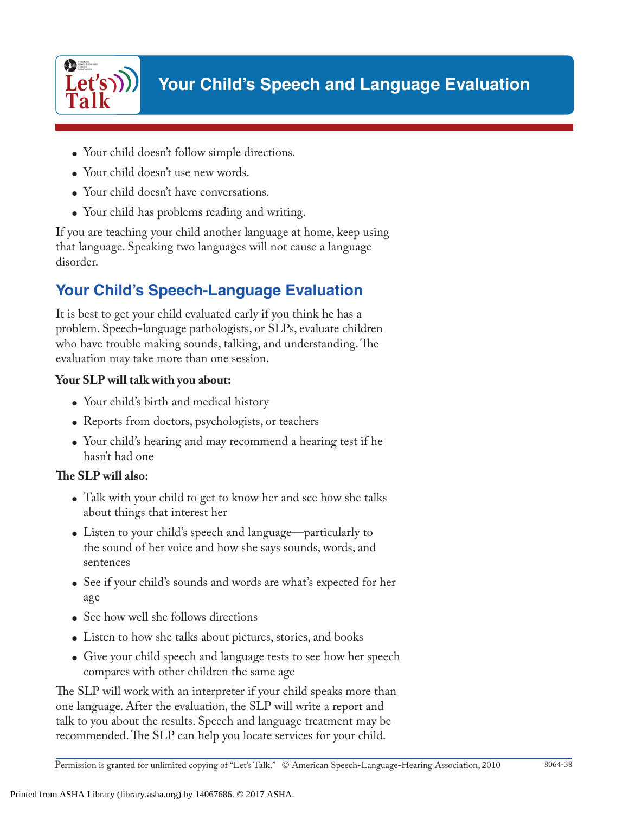

- Your child doesn't follow simple directions.
- Your child doesn't use new words.
- Your child doesn't have conversations.
- Your child has problems reading and writing.

If you are teaching your child another language at home, keep using that language. Speaking two languages will not cause a language disorder.

# **Your Child's Speech-Language Evaluation**

It is best to get your child evaluated early if you think he has a problem. Speech-language pathologists, or SLPs, evaluate children who have trouble making sounds, talking, and understanding. The evaluation may take more than one session.

## **Your SLP will talk with you about:**

- Your child's birth and medical history
- Reports from doctors, psychologists, or teachers
- Your child's hearing and may recommend a hearing test if he hasn't had one

## **The SLP will also:**

- Talk with your child to get to know her and see how she talks about things that interest her
- Listen to your child's speech and language—particularly to the sound of her voice and how she says sounds, words, and sentences
- See if your child's sounds and words are what's expected for her age
- See how well she follows directions
- Listen to how she talks about pictures, stories, and books
- Give your child speech and language tests to see how her speech compares with other children the same age

The SLP will work with an interpreter if your child speaks more than one language. After the evaluation, the SLP will write a report and talk to you about the results. Speech and language treatment may be recommended. The SLP can help you locate services for your child.